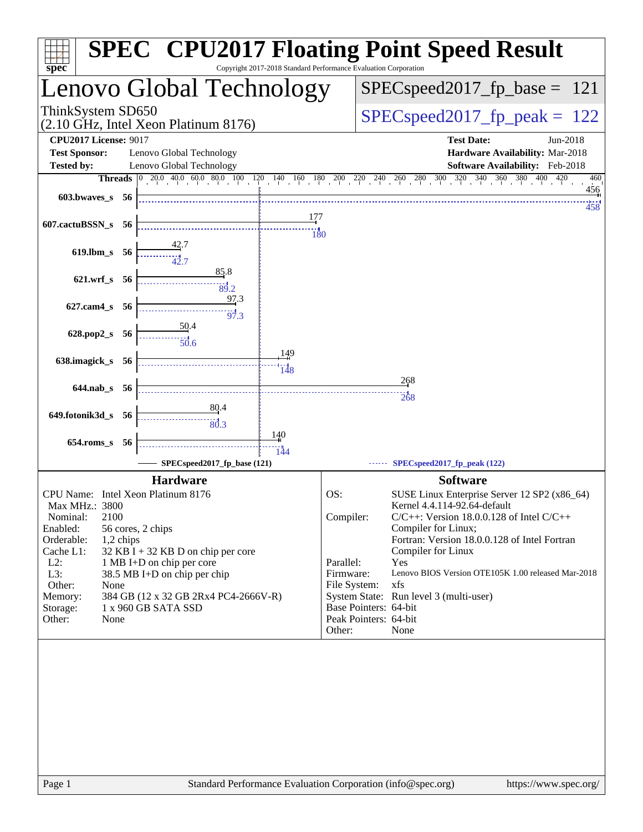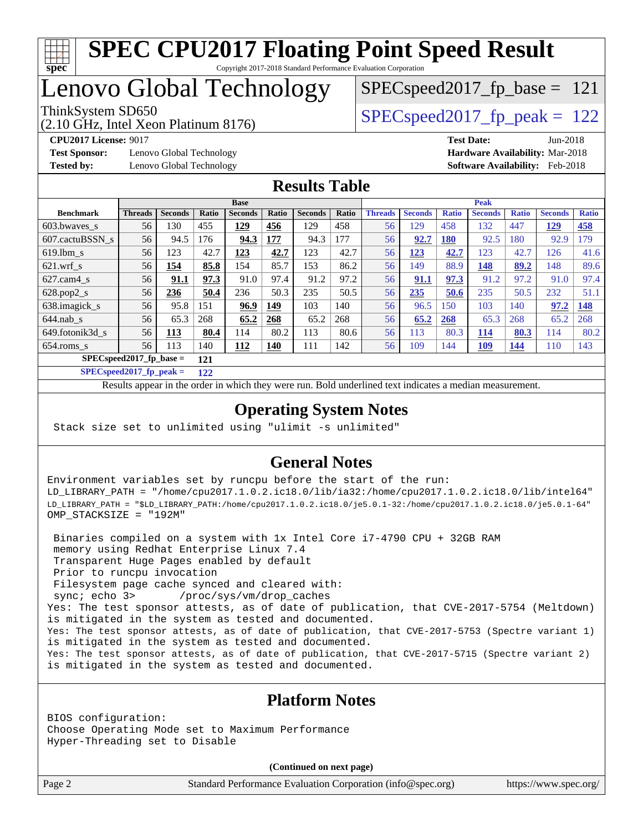

# Lenovo Global Technology

(2.10 GHz, Intel Xeon Platinum 8176)

ThinkSystem SD650  $SPEC speed2017$  fp\_peak = 122

SPECspeed2017 fp base =  $121$ 

**[Test Sponsor:](http://www.spec.org/auto/cpu2017/Docs/result-fields.html#TestSponsor)** Lenovo Global Technology **[Hardware Availability:](http://www.spec.org/auto/cpu2017/Docs/result-fields.html#HardwareAvailability)** Mar-2018 **[Tested by:](http://www.spec.org/auto/cpu2017/Docs/result-fields.html#Testedby)** Lenovo Global Technology **[Software Availability:](http://www.spec.org/auto/cpu2017/Docs/result-fields.html#SoftwareAvailability)** Feb-2018

**[CPU2017 License:](http://www.spec.org/auto/cpu2017/Docs/result-fields.html#CPU2017License)** 9017 **[Test Date:](http://www.spec.org/auto/cpu2017/Docs/result-fields.html#TestDate)** Jun-2018

### **[Results Table](http://www.spec.org/auto/cpu2017/Docs/result-fields.html#ResultsTable)**

|                           |                |                |       | <b>Base</b>    |            |                |       |                |                |              | <b>Peak</b>    |              |                |              |
|---------------------------|----------------|----------------|-------|----------------|------------|----------------|-------|----------------|----------------|--------------|----------------|--------------|----------------|--------------|
| <b>Benchmark</b>          | <b>Threads</b> | <b>Seconds</b> | Ratio | <b>Seconds</b> | Ratio      | <b>Seconds</b> | Ratio | <b>Threads</b> | <b>Seconds</b> | <b>Ratio</b> | <b>Seconds</b> | <b>Ratio</b> | <b>Seconds</b> | <b>Ratio</b> |
| 603.bwayes s              | 56             | 130            | 455   | 129            | 456        | 129            | 458   | 56             | 129            | 458          | 132            | 447          | <u>129</u>     | <u>458</u>   |
| 607.cactuBSSN s           | 56             | 94.5           | 176   | 94.3           | 177        | 94.3           | 177   | 56             | 92.7           | <b>180</b>   | 92.5           | 180          | 92.9           | 179          |
| $619.1$ bm s              | 56             | 123            | 42.7  | 123            | 42.7       | 123            | 42.7  | 56             | <u>123</u>     | 42.7         | 123            | 42.7         | 126            | 41.6         |
| $621$ .wrf s              | 56             | 154            | 85.8  | 154            | 85.7       | 153            | 86.2  | 56             | 149            | 88.9         | 148            | 89.2         | 148            | 89.6         |
| $627$ .cam $4 \text{ s}$  | 56             | 91.1           | 97.3  | 91.0           | 97.4       | 91.2           | 97.2  | 56             | 91.1           | 97.3         | 91.2           | 97.2         | 91.0           | 97.4         |
| $628.pop2_s$              | 56             | 236            | 50.4  | 236            | 50.3       | 235            | 50.5  | 56             | 235            | 50.6         | 235            | 50.5         | 232            | 51.1         |
| 638.imagick_s             | 56             | 95.8           | 151   | 96.9           | 149        | 103            | 140   | 56             | 96.5           | 150          | 103            | 140          | 97.2           | 148          |
| $644$ .nab s              | 56             | 65.3           | 268   | 65.2           | 268        | 65.2           | 268   | 56             | 65.2           | 268          | 65.3           | 268          | 65.2           | 268          |
| 649.fotonik3d s           | 56             | 113            | 80.4  | 114            | 80.2       | 113            | 80.6  | 56             | 113            | 80.3         | <b>114</b>     | 80.3         | 114            | 80.2         |
| $654$ .roms s             | 56             | 113            | 140   | 112            | <b>140</b> | 111            | 142   | 56             | 109            | 144          | <u>109</u>     | <u>144</u>   | 110            | 143          |
| $SPECspeed2017$ fp base = |                |                | 121   |                |            |                |       |                |                |              |                |              |                |              |

**[SPECspeed2017\\_fp\\_peak =](http://www.spec.org/auto/cpu2017/Docs/result-fields.html#SPECspeed2017fppeak) 122**

Results appear in the [order in which they were run.](http://www.spec.org/auto/cpu2017/Docs/result-fields.html#RunOrder) Bold underlined text [indicates a median measurement](http://www.spec.org/auto/cpu2017/Docs/result-fields.html#Median).

## **[Operating System Notes](http://www.spec.org/auto/cpu2017/Docs/result-fields.html#OperatingSystemNotes)**

Stack size set to unlimited using "ulimit -s unlimited"

## **[General Notes](http://www.spec.org/auto/cpu2017/Docs/result-fields.html#GeneralNotes)**

Environment variables set by runcpu before the start of the run: LD\_LIBRARY\_PATH = "/home/cpu2017.1.0.2.ic18.0/lib/ia32:/home/cpu2017.1.0.2.ic18.0/lib/intel64" LD\_LIBRARY\_PATH = "\$LD\_LIBRARY\_PATH:/home/cpu2017.1.0.2.ic18.0/je5.0.1-32:/home/cpu2017.1.0.2.ic18.0/je5.0.1-64" OMP\_STACKSIZE = "192M"

 Binaries compiled on a system with 1x Intel Core i7-4790 CPU + 32GB RAM memory using Redhat Enterprise Linux 7.4 Transparent Huge Pages enabled by default Prior to runcpu invocation Filesystem page cache synced and cleared with: sync; echo 3> /proc/sys/vm/drop\_caches Yes: The test sponsor attests, as of date of publication, that CVE-2017-5754 (Meltdown) is mitigated in the system as tested and documented. Yes: The test sponsor attests, as of date of publication, that CVE-2017-5753 (Spectre variant 1) is mitigated in the system as tested and documented. Yes: The test sponsor attests, as of date of publication, that CVE-2017-5715 (Spectre variant 2) is mitigated in the system as tested and documented.

### **[Platform Notes](http://www.spec.org/auto/cpu2017/Docs/result-fields.html#PlatformNotes)**

BIOS configuration: Choose Operating Mode set to Maximum Performance Hyper-Threading set to Disable

**(Continued on next page)**

Page 2 Standard Performance Evaluation Corporation [\(info@spec.org\)](mailto:info@spec.org) <https://www.spec.org/>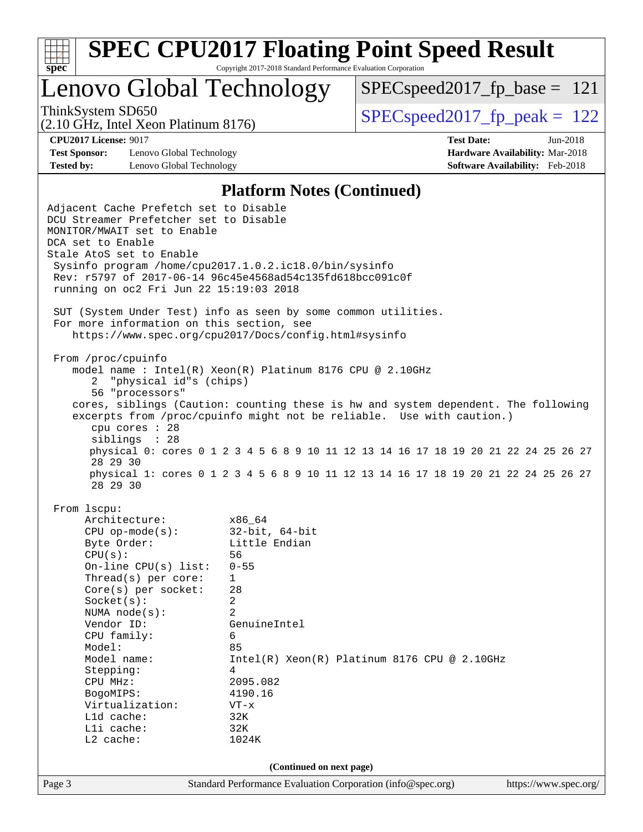

Lenovo Global Technology

 $SPEC speed2017_fp\_base = 121$ 

(2.10 GHz, Intel Xeon Platinum 8176)

ThinkSystem SD650  $SPEC speed2017$  fp\_peak = 122

**[Test Sponsor:](http://www.spec.org/auto/cpu2017/Docs/result-fields.html#TestSponsor)** Lenovo Global Technology **[Hardware Availability:](http://www.spec.org/auto/cpu2017/Docs/result-fields.html#HardwareAvailability)** Mar-2018 **[Tested by:](http://www.spec.org/auto/cpu2017/Docs/result-fields.html#Testedby)** Lenovo Global Technology **[Software Availability:](http://www.spec.org/auto/cpu2017/Docs/result-fields.html#SoftwareAvailability)** Feb-2018

**[CPU2017 License:](http://www.spec.org/auto/cpu2017/Docs/result-fields.html#CPU2017License)** 9017 **[Test Date:](http://www.spec.org/auto/cpu2017/Docs/result-fields.html#TestDate)** Jun-2018

#### **[Platform Notes \(Continued\)](http://www.spec.org/auto/cpu2017/Docs/result-fields.html#PlatformNotes)**

Page 3 Standard Performance Evaluation Corporation [\(info@spec.org\)](mailto:info@spec.org) <https://www.spec.org/> Adjacent Cache Prefetch set to Disable DCU Streamer Prefetcher set to Disable MONITOR/MWAIT set to Enable DCA set to Enable Stale AtoS set to Enable Sysinfo program /home/cpu2017.1.0.2.ic18.0/bin/sysinfo Rev: r5797 of 2017-06-14 96c45e4568ad54c135fd618bcc091c0f running on oc2 Fri Jun 22 15:19:03 2018 SUT (System Under Test) info as seen by some common utilities. For more information on this section, see <https://www.spec.org/cpu2017/Docs/config.html#sysinfo> From /proc/cpuinfo model name : Intel(R) Xeon(R) Platinum 8176 CPU @ 2.10GHz 2 "physical id"s (chips) 56 "processors" cores, siblings (Caution: counting these is hw and system dependent. The following excerpts from /proc/cpuinfo might not be reliable. Use with caution.) cpu cores : 28 siblings : 28 physical 0: cores 0 1 2 3 4 5 6 8 9 10 11 12 13 14 16 17 18 19 20 21 22 24 25 26 27 28 29 30 physical 1: cores 0 1 2 3 4 5 6 8 9 10 11 12 13 14 16 17 18 19 20 21 22 24 25 26 27 28 29 30 From lscpu: Architecture: x86\_64<br>
CPU op-mode(s): 32-bit, 64-bit CPU op-mode $(s):$ Byte Order: Little Endian CPU(s): 56 On-line CPU(s) list: 0-55 Thread(s) per core: 1 Core(s) per socket: 28 Socket(s): 2 NUMA node(s): 2 Vendor ID: GenuineIntel CPU family: 6 Model: 85 Model name:  $Intel(R)$  Xeon(R) Platinum 8176 CPU @ 2.10GHz Stepping: 4 CPU MHz: 2095.082 BogoMIPS: 4190.16 Virtualization: VT-x L1d cache: 32K L1i cache: 32K L2 cache: 1024K **(Continued on next page)**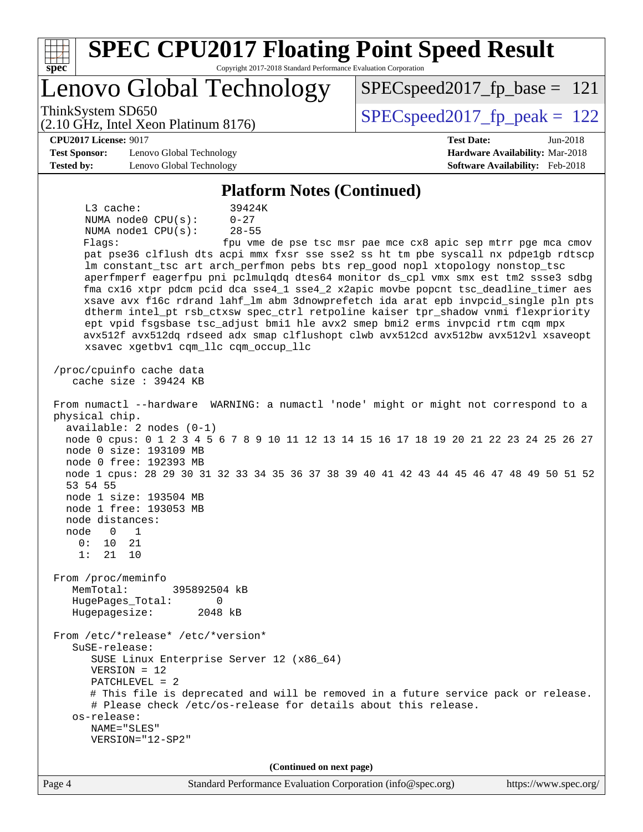| <b>SPEC CPU2017 Floating Point Speed Result</b><br>Copyright 2017-2018 Standard Performance Evaluation Corporation<br>$spec^*$                                                                                                                                                                                                                                                                                                                                                                                                                                                                                                                                                                                                                                                                                                                                                                                                                                                                                                                                                                                                                                                                                                                                                                                                                                                                                                                                                                                                                                                                                                                                                                                                                                                                                                                                         |                                                                    |
|------------------------------------------------------------------------------------------------------------------------------------------------------------------------------------------------------------------------------------------------------------------------------------------------------------------------------------------------------------------------------------------------------------------------------------------------------------------------------------------------------------------------------------------------------------------------------------------------------------------------------------------------------------------------------------------------------------------------------------------------------------------------------------------------------------------------------------------------------------------------------------------------------------------------------------------------------------------------------------------------------------------------------------------------------------------------------------------------------------------------------------------------------------------------------------------------------------------------------------------------------------------------------------------------------------------------------------------------------------------------------------------------------------------------------------------------------------------------------------------------------------------------------------------------------------------------------------------------------------------------------------------------------------------------------------------------------------------------------------------------------------------------------------------------------------------------------------------------------------------------|--------------------------------------------------------------------|
| Lenovo Global Technology                                                                                                                                                                                                                                                                                                                                                                                                                                                                                                                                                                                                                                                                                                                                                                                                                                                                                                                                                                                                                                                                                                                                                                                                                                                                                                                                                                                                                                                                                                                                                                                                                                                                                                                                                                                                                                               | $SPEC speed2017_fp\_base = 121$                                    |
| ThinkSystem SD650<br>(2.10 GHz, Intel Xeon Platinum 8176)                                                                                                                                                                                                                                                                                                                                                                                                                                                                                                                                                                                                                                                                                                                                                                                                                                                                                                                                                                                                                                                                                                                                                                                                                                                                                                                                                                                                                                                                                                                                                                                                                                                                                                                                                                                                              | $SPEC speed2017_fp\_peak = 122$                                    |
| <b>CPU2017 License: 9017</b>                                                                                                                                                                                                                                                                                                                                                                                                                                                                                                                                                                                                                                                                                                                                                                                                                                                                                                                                                                                                                                                                                                                                                                                                                                                                                                                                                                                                                                                                                                                                                                                                                                                                                                                                                                                                                                           | <b>Test Date:</b><br>$Jun-2018$                                    |
| <b>Test Sponsor:</b><br>Lenovo Global Technology<br><b>Tested by:</b><br>Lenovo Global Technology                                                                                                                                                                                                                                                                                                                                                                                                                                                                                                                                                                                                                                                                                                                                                                                                                                                                                                                                                                                                                                                                                                                                                                                                                                                                                                                                                                                                                                                                                                                                                                                                                                                                                                                                                                      | Hardware Availability: Mar-2018<br>Software Availability: Feb-2018 |
|                                                                                                                                                                                                                                                                                                                                                                                                                                                                                                                                                                                                                                                                                                                                                                                                                                                                                                                                                                                                                                                                                                                                                                                                                                                                                                                                                                                                                                                                                                                                                                                                                                                                                                                                                                                                                                                                        |                                                                    |
| <b>Platform Notes (Continued)</b><br>$L3$ cache:<br>39424K                                                                                                                                                                                                                                                                                                                                                                                                                                                                                                                                                                                                                                                                                                                                                                                                                                                                                                                                                                                                                                                                                                                                                                                                                                                                                                                                                                                                                                                                                                                                                                                                                                                                                                                                                                                                             |                                                                    |
| NUMA node0 CPU(s):<br>$0 - 27$<br>$28 - 55$<br>NUMA nodel CPU(s):<br>Flags:<br>pat pse36 clflush dts acpi mmx fxsr sse sse2 ss ht tm pbe syscall nx pdpelgb rdtscp<br>lm constant_tsc art arch_perfmon pebs bts rep_good nopl xtopology nonstop_tsc<br>aperfmperf eagerfpu pni pclmulqdq dtes64 monitor ds_cpl vmx smx est tm2 ssse3 sdbg<br>fma cx16 xtpr pdcm pcid dca sse4_1 sse4_2 x2apic movbe popcnt tsc_deadline_timer aes<br>xsave avx f16c rdrand lahf_lm abm 3dnowprefetch ida arat epb invpcid_single pln pts<br>dtherm intel_pt rsb_ctxsw spec_ctrl retpoline kaiser tpr_shadow vnmi flexpriority<br>ept vpid fsgsbase tsc_adjust bmil hle avx2 smep bmi2 erms invpcid rtm cqm mpx<br>avx512f avx512dq rdseed adx smap clflushopt clwb avx512cd avx512bw avx512vl xsaveopt<br>xsavec xgetbv1 cqm_llc cqm_occup_llc<br>/proc/cpuinfo cache data<br>cache size : 39424 KB<br>From numactl --hardware WARNING: a numactl 'node' might or might not correspond to a<br>physical chip.<br>$available: 2 nodes (0-1)$<br>node 0 cpus: 0 1 2 3 4 5 6 7 8 9 10 11 12 13 14 15 16 17 18 19 20 21 22 23 24 25 26 27<br>node 0 size: 193109 MB<br>node 0 free: 192393 MB<br>node 1 cpus: 28 29 30 31 32 33 34 35 36 37 38 39 40 41 42 43 44 45 46 47 48 49 50 51 52<br>53 54 55<br>node 1 size: 193504 MB<br>node 1 free: 193053 MB<br>node distances:<br>node<br>$\overline{0}$<br>$\overline{1}$<br>0:<br>10<br>21<br>1:<br>21 10<br>From /proc/meminfo<br>MemTotal:<br>395892504 kB<br>HugePages_Total:<br>$\Omega$<br>2048 kB<br>Hugepagesize:<br>From /etc/*release* /etc/*version*<br>$S$ uSE-release:<br>SUSE Linux Enterprise Server 12 (x86_64)<br>$VERSION = 12$<br>$PATCHLEVEL = 2$<br># This file is deprecated and will be removed in a future service pack or release.<br># Please check /etc/os-release for details about this release.<br>os-release: | fpu vme de pse tsc msr pae mce cx8 apic sep mtrr pge mca cmov      |
| NAME="SLES"                                                                                                                                                                                                                                                                                                                                                                                                                                                                                                                                                                                                                                                                                                                                                                                                                                                                                                                                                                                                                                                                                                                                                                                                                                                                                                                                                                                                                                                                                                                                                                                                                                                                                                                                                                                                                                                            |                                                                    |
| VERSION="12-SP2"                                                                                                                                                                                                                                                                                                                                                                                                                                                                                                                                                                                                                                                                                                                                                                                                                                                                                                                                                                                                                                                                                                                                                                                                                                                                                                                                                                                                                                                                                                                                                                                                                                                                                                                                                                                                                                                       |                                                                    |
| (Continued on next page)                                                                                                                                                                                                                                                                                                                                                                                                                                                                                                                                                                                                                                                                                                                                                                                                                                                                                                                                                                                                                                                                                                                                                                                                                                                                                                                                                                                                                                                                                                                                                                                                                                                                                                                                                                                                                                               |                                                                    |
| Page 4<br>Standard Performance Evaluation Corporation (info@spec.org)                                                                                                                                                                                                                                                                                                                                                                                                                                                                                                                                                                                                                                                                                                                                                                                                                                                                                                                                                                                                                                                                                                                                                                                                                                                                                                                                                                                                                                                                                                                                                                                                                                                                                                                                                                                                  | https://www.spec.org/                                              |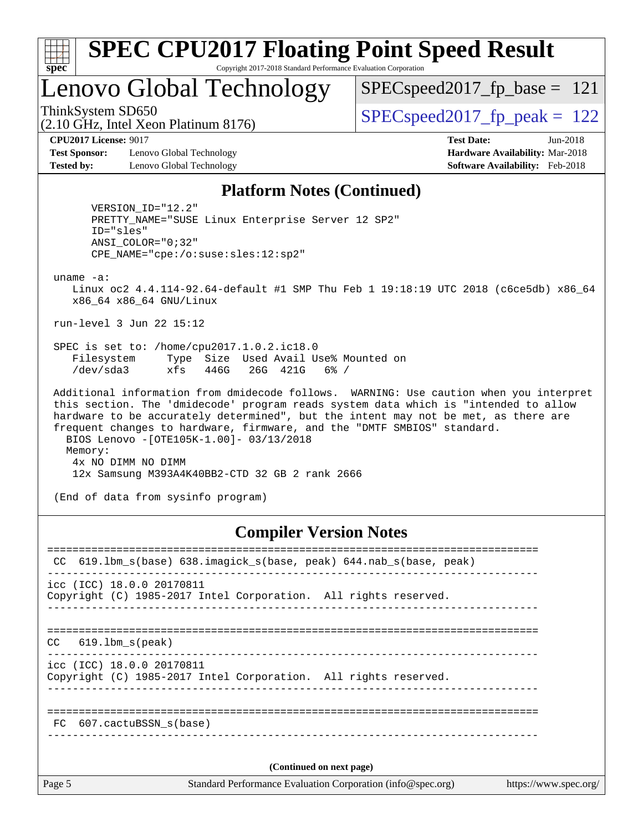

# Lenovo Global Technology

ThinkSystem SD650  $SPEC speed2017$  fp\_peak = 122 SPECspeed2017 fp base =  $121$ 

(2.10 GHz, Intel Xeon Platinum 8176)

**[Test Sponsor:](http://www.spec.org/auto/cpu2017/Docs/result-fields.html#TestSponsor)** Lenovo Global Technology **[Hardware Availability:](http://www.spec.org/auto/cpu2017/Docs/result-fields.html#HardwareAvailability)** Mar-2018 **[Tested by:](http://www.spec.org/auto/cpu2017/Docs/result-fields.html#Testedby)** Lenovo Global Technology **[Software Availability:](http://www.spec.org/auto/cpu2017/Docs/result-fields.html#SoftwareAvailability)** Feb-2018

**[CPU2017 License:](http://www.spec.org/auto/cpu2017/Docs/result-fields.html#CPU2017License)** 9017 **[Test Date:](http://www.spec.org/auto/cpu2017/Docs/result-fields.html#TestDate)** Jun-2018

#### **[Platform Notes \(Continued\)](http://www.spec.org/auto/cpu2017/Docs/result-fields.html#PlatformNotes)**

 VERSION\_ID="12.2" PRETTY\_NAME="SUSE Linux Enterprise Server 12 SP2" ID="sles" ANSI\_COLOR="0;32" CPE\_NAME="cpe:/o:suse:sles:12:sp2"

uname -a:

 Linux oc2 4.4.114-92.64-default #1 SMP Thu Feb 1 19:18:19 UTC 2018 (c6ce5db) x86\_64 x86\_64 x86\_64 GNU/Linux

run-level 3 Jun 22 15:12

 SPEC is set to: /home/cpu2017.1.0.2.ic18.0 Filesystem Type Size Used Avail Use% Mounted on /dev/sda3 xfs 446G 26G 421G 6% /

 Additional information from dmidecode follows. WARNING: Use caution when you interpret this section. The 'dmidecode' program reads system data which is "intended to allow hardware to be accurately determined", but the intent may not be met, as there are frequent changes to hardware, firmware, and the "DMTF SMBIOS" standard. BIOS Lenovo -[OTE105K-1.00]- 03/13/2018 Memory: 4x NO DIMM NO DIMM 12x Samsung M393A4K40BB2-CTD 32 GB 2 rank 2666

(End of data from sysinfo program)

## **[Compiler Version Notes](http://www.spec.org/auto/cpu2017/Docs/result-fields.html#CompilerVersionNotes)**

Page 5 Standard Performance Evaluation Corporation [\(info@spec.org\)](mailto:info@spec.org) <https://www.spec.org/> ============================================================================== CC 619.1bm s(base) 638.imagick s(base, peak) 644.nab s(base, peak) ----------------------------------------------------------------------------- icc (ICC) 18.0.0 20170811 Copyright (C) 1985-2017 Intel Corporation. All rights reserved. ------------------------------------------------------------------------------ ============================================================================== CC 619.lbm\_s(peak) ----------------------------------------------------------------------------- icc (ICC) 18.0.0 20170811 Copyright (C) 1985-2017 Intel Corporation. All rights reserved. ------------------------------------------------------------------------------ ============================================================================== FC 607.cactuBSSN\_s(base) ------------------------------------------------------------------------------ **(Continued on next page)**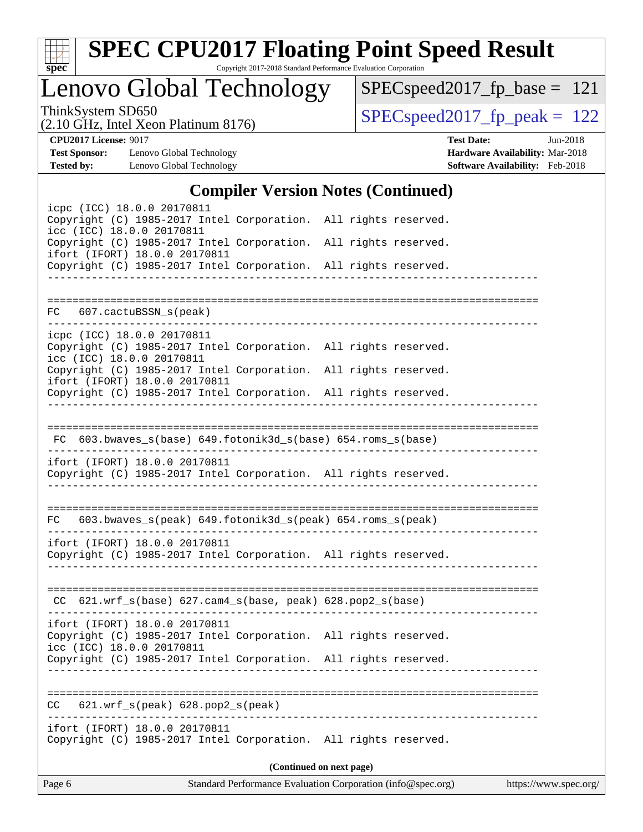

# **[SPEC CPU2017 Floating Point Speed Result](http://www.spec.org/auto/cpu2017/Docs/result-fields.html#SPECCPU2017FloatingPointSpeedResult)**

Copyright 2017-2018 Standard Performance Evaluation Corporation

Lenovo Global Technology

[SPECspeed2017\\_fp\\_base =](http://www.spec.org/auto/cpu2017/Docs/result-fields.html#SPECspeed2017fpbase) 121

(2.10 GHz, Intel Xeon Platinum 8176)

ThinkSystem SD650<br>  $(2.10 \text{ GHz})$  Intel Xeon Platinum 8176) [SPECspeed2017\\_fp\\_peak =](http://www.spec.org/auto/cpu2017/Docs/result-fields.html#SPECspeed2017fppeak) 122

**[Test Sponsor:](http://www.spec.org/auto/cpu2017/Docs/result-fields.html#TestSponsor)** Lenovo Global Technology **[Hardware Availability:](http://www.spec.org/auto/cpu2017/Docs/result-fields.html#HardwareAvailability)** Mar-2018 **[Tested by:](http://www.spec.org/auto/cpu2017/Docs/result-fields.html#Testedby)** Lenovo Global Technology **[Software Availability:](http://www.spec.org/auto/cpu2017/Docs/result-fields.html#SoftwareAvailability)** Feb-2018

**[CPU2017 License:](http://www.spec.org/auto/cpu2017/Docs/result-fields.html#CPU2017License)** 9017 **[Test Date:](http://www.spec.org/auto/cpu2017/Docs/result-fields.html#TestDate)** Jun-2018

## **[Compiler Version Notes \(Continued\)](http://www.spec.org/auto/cpu2017/Docs/result-fields.html#CompilerVersionNotes)**

| Page 6 |                                                                                                                                                                                                  |                          | Standard Performance Evaluation Corporation (info@spec.org) https://www.spec.org/ |
|--------|--------------------------------------------------------------------------------------------------------------------------------------------------------------------------------------------------|--------------------------|-----------------------------------------------------------------------------------|
|        |                                                                                                                                                                                                  | (Continued on next page) |                                                                                   |
|        | ifort (IFORT) 18.0.0 20170811<br>Copyright (C) 1985-2017 Intel Corporation. All rights reserved.                                                                                                 |                          |                                                                                   |
| CC.    | 621.wrf_s(peak) 628.pop2_s(peak)                                                                                                                                                                 |                          |                                                                                   |
|        |                                                                                                                                                                                                  |                          |                                                                                   |
|        | ifort (IFORT) 18.0.0 20170811<br>Copyright (C) 1985-2017 Intel Corporation. All rights reserved.<br>icc (ICC) 18.0.0 20170811<br>Copyright (C) 1985-2017 Intel Corporation. All rights reserved. |                          |                                                                                   |
|        | CC 621.wrf_s(base) 627.cam4_s(base, peak) 628.pop2_s(base)                                                                                                                                       |                          |                                                                                   |
|        |                                                                                                                                                                                                  |                          |                                                                                   |
|        | ifort (IFORT) 18.0.0 20170811<br>Copyright (C) 1985-2017 Intel Corporation. All rights reserved.                                                                                                 |                          |                                                                                   |
|        | FC 603.bwaves_s(peak) 649.fotonik3d_s(peak) 654.roms_s(peak)                                                                                                                                     |                          |                                                                                   |
|        | ifort (IFORT) 18.0.0 20170811<br>Copyright (C) 1985-2017 Intel Corporation. All rights reserved.                                                                                                 |                          |                                                                                   |
|        | FC 603.bwaves_s(base) 649.fotonik3d_s(base) 654.roms_s(base)                                                                                                                                     |                          |                                                                                   |
|        |                                                                                                                                                                                                  |                          |                                                                                   |
|        | ifort (IFORT) 18.0.0 20170811<br>Copyright (C) 1985-2017 Intel Corporation. All rights reserved.                                                                                                 |                          |                                                                                   |
|        | icc (ICC) 18.0.0 20170811<br>Copyright (C) 1985-2017 Intel Corporation. All rights reserved.                                                                                                     |                          |                                                                                   |
|        | icpc (ICC) 18.0.0 20170811<br>Copyright (C) 1985-2017 Intel Corporation. All rights reserved.                                                                                                    |                          |                                                                                   |
|        | FC 607.cactuBSSN_s(peak)                                                                                                                                                                         |                          |                                                                                   |
|        |                                                                                                                                                                                                  |                          |                                                                                   |
|        | ifort (IFORT) 18.0.0 20170811<br>Copyright (C) 1985-2017 Intel Corporation. All rights reserved.                                                                                                 |                          |                                                                                   |
|        | icc (ICC) 18.0.0 20170811<br>Copyright (C) 1985-2017 Intel Corporation.                                                                                                                          | All rights reserved.     |                                                                                   |
|        | icpc (ICC) 18.0.0 20170811<br>Copyright (C) 1985-2017 Intel Corporation. All rights reserved.                                                                                                    |                          |                                                                                   |
|        |                                                                                                                                                                                                  |                          |                                                                                   |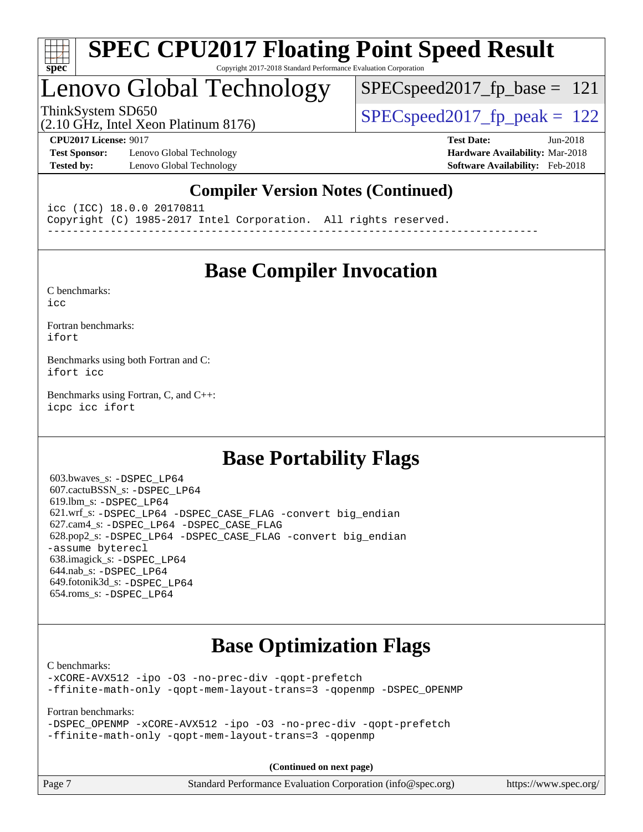

## Lenovo Global Technology

ThinkSystem SD650 SPECspeed2017 fp\_peak = 122 SPECspeed2017 fp base =  $121$ 

(2.10 GHz, Intel Xeon Platinum 8176)

**[Test Sponsor:](http://www.spec.org/auto/cpu2017/Docs/result-fields.html#TestSponsor)** Lenovo Global Technology **[Hardware Availability:](http://www.spec.org/auto/cpu2017/Docs/result-fields.html#HardwareAvailability)** Mar-2018 **[Tested by:](http://www.spec.org/auto/cpu2017/Docs/result-fields.html#Testedby)** Lenovo Global Technology **[Software Availability:](http://www.spec.org/auto/cpu2017/Docs/result-fields.html#SoftwareAvailability)** Feb-2018

**[CPU2017 License:](http://www.spec.org/auto/cpu2017/Docs/result-fields.html#CPU2017License)** 9017 **[Test Date:](http://www.spec.org/auto/cpu2017/Docs/result-fields.html#TestDate)** Jun-2018

## **[Compiler Version Notes \(Continued\)](http://www.spec.org/auto/cpu2017/Docs/result-fields.html#CompilerVersionNotes)**

icc (ICC) 18.0.0 20170811 Copyright (C) 1985-2017 Intel Corporation. All rights reserved. ------------------------------------------------------------------------------

## **[Base Compiler Invocation](http://www.spec.org/auto/cpu2017/Docs/result-fields.html#BaseCompilerInvocation)**

[C benchmarks](http://www.spec.org/auto/cpu2017/Docs/result-fields.html#Cbenchmarks): [icc](http://www.spec.org/cpu2017/results/res2018q3/cpu2017-20180625-07346.flags.html#user_CCbase_intel_icc_18.0_66fc1ee009f7361af1fbd72ca7dcefbb700085f36577c54f309893dd4ec40d12360134090235512931783d35fd58c0460139e722d5067c5574d8eaf2b3e37e92)

[Fortran benchmarks](http://www.spec.org/auto/cpu2017/Docs/result-fields.html#Fortranbenchmarks): [ifort](http://www.spec.org/cpu2017/results/res2018q3/cpu2017-20180625-07346.flags.html#user_FCbase_intel_ifort_18.0_8111460550e3ca792625aed983ce982f94888b8b503583aa7ba2b8303487b4d8a21a13e7191a45c5fd58ff318f48f9492884d4413fa793fd88dd292cad7027ca)

[Benchmarks using both Fortran and C](http://www.spec.org/auto/cpu2017/Docs/result-fields.html#BenchmarksusingbothFortranandC): [ifort](http://www.spec.org/cpu2017/results/res2018q3/cpu2017-20180625-07346.flags.html#user_CC_FCbase_intel_ifort_18.0_8111460550e3ca792625aed983ce982f94888b8b503583aa7ba2b8303487b4d8a21a13e7191a45c5fd58ff318f48f9492884d4413fa793fd88dd292cad7027ca) [icc](http://www.spec.org/cpu2017/results/res2018q3/cpu2017-20180625-07346.flags.html#user_CC_FCbase_intel_icc_18.0_66fc1ee009f7361af1fbd72ca7dcefbb700085f36577c54f309893dd4ec40d12360134090235512931783d35fd58c0460139e722d5067c5574d8eaf2b3e37e92)

[Benchmarks using Fortran, C, and C++:](http://www.spec.org/auto/cpu2017/Docs/result-fields.html#BenchmarksusingFortranCandCXX) [icpc](http://www.spec.org/cpu2017/results/res2018q3/cpu2017-20180625-07346.flags.html#user_CC_CXX_FCbase_intel_icpc_18.0_c510b6838c7f56d33e37e94d029a35b4a7bccf4766a728ee175e80a419847e808290a9b78be685c44ab727ea267ec2f070ec5dc83b407c0218cded6866a35d07) [icc](http://www.spec.org/cpu2017/results/res2018q3/cpu2017-20180625-07346.flags.html#user_CC_CXX_FCbase_intel_icc_18.0_66fc1ee009f7361af1fbd72ca7dcefbb700085f36577c54f309893dd4ec40d12360134090235512931783d35fd58c0460139e722d5067c5574d8eaf2b3e37e92) [ifort](http://www.spec.org/cpu2017/results/res2018q3/cpu2017-20180625-07346.flags.html#user_CC_CXX_FCbase_intel_ifort_18.0_8111460550e3ca792625aed983ce982f94888b8b503583aa7ba2b8303487b4d8a21a13e7191a45c5fd58ff318f48f9492884d4413fa793fd88dd292cad7027ca)

## **[Base Portability Flags](http://www.spec.org/auto/cpu2017/Docs/result-fields.html#BasePortabilityFlags)**

 603.bwaves\_s: [-DSPEC\\_LP64](http://www.spec.org/cpu2017/results/res2018q3/cpu2017-20180625-07346.flags.html#suite_basePORTABILITY603_bwaves_s_DSPEC_LP64) 607.cactuBSSN\_s: [-DSPEC\\_LP64](http://www.spec.org/cpu2017/results/res2018q3/cpu2017-20180625-07346.flags.html#suite_basePORTABILITY607_cactuBSSN_s_DSPEC_LP64) 619.lbm\_s: [-DSPEC\\_LP64](http://www.spec.org/cpu2017/results/res2018q3/cpu2017-20180625-07346.flags.html#suite_basePORTABILITY619_lbm_s_DSPEC_LP64) 621.wrf\_s: [-DSPEC\\_LP64](http://www.spec.org/cpu2017/results/res2018q3/cpu2017-20180625-07346.flags.html#suite_basePORTABILITY621_wrf_s_DSPEC_LP64) [-DSPEC\\_CASE\\_FLAG](http://www.spec.org/cpu2017/results/res2018q3/cpu2017-20180625-07346.flags.html#b621.wrf_s_baseCPORTABILITY_DSPEC_CASE_FLAG) [-convert big\\_endian](http://www.spec.org/cpu2017/results/res2018q3/cpu2017-20180625-07346.flags.html#user_baseFPORTABILITY621_wrf_s_convert_big_endian_c3194028bc08c63ac5d04de18c48ce6d347e4e562e8892b8bdbdc0214820426deb8554edfa529a3fb25a586e65a3d812c835984020483e7e73212c4d31a38223) 627.cam4\_s: [-DSPEC\\_LP64](http://www.spec.org/cpu2017/results/res2018q3/cpu2017-20180625-07346.flags.html#suite_basePORTABILITY627_cam4_s_DSPEC_LP64) [-DSPEC\\_CASE\\_FLAG](http://www.spec.org/cpu2017/results/res2018q3/cpu2017-20180625-07346.flags.html#b627.cam4_s_baseCPORTABILITY_DSPEC_CASE_FLAG) 628.pop2\_s: [-DSPEC\\_LP64](http://www.spec.org/cpu2017/results/res2018q3/cpu2017-20180625-07346.flags.html#suite_basePORTABILITY628_pop2_s_DSPEC_LP64) [-DSPEC\\_CASE\\_FLAG](http://www.spec.org/cpu2017/results/res2018q3/cpu2017-20180625-07346.flags.html#b628.pop2_s_baseCPORTABILITY_DSPEC_CASE_FLAG) [-convert big\\_endian](http://www.spec.org/cpu2017/results/res2018q3/cpu2017-20180625-07346.flags.html#user_baseFPORTABILITY628_pop2_s_convert_big_endian_c3194028bc08c63ac5d04de18c48ce6d347e4e562e8892b8bdbdc0214820426deb8554edfa529a3fb25a586e65a3d812c835984020483e7e73212c4d31a38223) [-assume byterecl](http://www.spec.org/cpu2017/results/res2018q3/cpu2017-20180625-07346.flags.html#user_baseFPORTABILITY628_pop2_s_assume_byterecl_7e47d18b9513cf18525430bbf0f2177aa9bf368bc7a059c09b2c06a34b53bd3447c950d3f8d6c70e3faf3a05c8557d66a5798b567902e8849adc142926523472) 638.imagick\_s: [-DSPEC\\_LP64](http://www.spec.org/cpu2017/results/res2018q3/cpu2017-20180625-07346.flags.html#suite_basePORTABILITY638_imagick_s_DSPEC_LP64) 644.nab\_s: [-DSPEC\\_LP64](http://www.spec.org/cpu2017/results/res2018q3/cpu2017-20180625-07346.flags.html#suite_basePORTABILITY644_nab_s_DSPEC_LP64) 649.fotonik3d\_s: [-DSPEC\\_LP64](http://www.spec.org/cpu2017/results/res2018q3/cpu2017-20180625-07346.flags.html#suite_basePORTABILITY649_fotonik3d_s_DSPEC_LP64) 654.roms\_s: [-DSPEC\\_LP64](http://www.spec.org/cpu2017/results/res2018q3/cpu2017-20180625-07346.flags.html#suite_basePORTABILITY654_roms_s_DSPEC_LP64)

## **[Base Optimization Flags](http://www.spec.org/auto/cpu2017/Docs/result-fields.html#BaseOptimizationFlags)**

[C benchmarks](http://www.spec.org/auto/cpu2017/Docs/result-fields.html#Cbenchmarks):

[-xCORE-AVX512](http://www.spec.org/cpu2017/results/res2018q3/cpu2017-20180625-07346.flags.html#user_CCbase_f-xCORE-AVX512) [-ipo](http://www.spec.org/cpu2017/results/res2018q3/cpu2017-20180625-07346.flags.html#user_CCbase_f-ipo) [-O3](http://www.spec.org/cpu2017/results/res2018q3/cpu2017-20180625-07346.flags.html#user_CCbase_f-O3) [-no-prec-div](http://www.spec.org/cpu2017/results/res2018q3/cpu2017-20180625-07346.flags.html#user_CCbase_f-no-prec-div) [-qopt-prefetch](http://www.spec.org/cpu2017/results/res2018q3/cpu2017-20180625-07346.flags.html#user_CCbase_f-qopt-prefetch) [-ffinite-math-only](http://www.spec.org/cpu2017/results/res2018q3/cpu2017-20180625-07346.flags.html#user_CCbase_f_finite_math_only_cb91587bd2077682c4b38af759c288ed7c732db004271a9512da14a4f8007909a5f1427ecbf1a0fb78ff2a814402c6114ac565ca162485bbcae155b5e4258871) [-qopt-mem-layout-trans=3](http://www.spec.org/cpu2017/results/res2018q3/cpu2017-20180625-07346.flags.html#user_CCbase_f-qopt-mem-layout-trans_de80db37974c74b1f0e20d883f0b675c88c3b01e9d123adea9b28688d64333345fb62bc4a798493513fdb68f60282f9a726aa07f478b2f7113531aecce732043) [-qopenmp](http://www.spec.org/cpu2017/results/res2018q3/cpu2017-20180625-07346.flags.html#user_CCbase_qopenmp_16be0c44f24f464004c6784a7acb94aca937f053568ce72f94b139a11c7c168634a55f6653758ddd83bcf7b8463e8028bb0b48b77bcddc6b78d5d95bb1df2967) [-DSPEC\\_OPENMP](http://www.spec.org/cpu2017/results/res2018q3/cpu2017-20180625-07346.flags.html#suite_CCbase_DSPEC_OPENMP)

[Fortran benchmarks](http://www.spec.org/auto/cpu2017/Docs/result-fields.html#Fortranbenchmarks):

[-DSPEC\\_OPENMP](http://www.spec.org/cpu2017/results/res2018q3/cpu2017-20180625-07346.flags.html#suite_FCbase_DSPEC_OPENMP) [-xCORE-AVX512](http://www.spec.org/cpu2017/results/res2018q3/cpu2017-20180625-07346.flags.html#user_FCbase_f-xCORE-AVX512) [-ipo](http://www.spec.org/cpu2017/results/res2018q3/cpu2017-20180625-07346.flags.html#user_FCbase_f-ipo) [-O3](http://www.spec.org/cpu2017/results/res2018q3/cpu2017-20180625-07346.flags.html#user_FCbase_f-O3) [-no-prec-div](http://www.spec.org/cpu2017/results/res2018q3/cpu2017-20180625-07346.flags.html#user_FCbase_f-no-prec-div) [-qopt-prefetch](http://www.spec.org/cpu2017/results/res2018q3/cpu2017-20180625-07346.flags.html#user_FCbase_f-qopt-prefetch) [-ffinite-math-only](http://www.spec.org/cpu2017/results/res2018q3/cpu2017-20180625-07346.flags.html#user_FCbase_f_finite_math_only_cb91587bd2077682c4b38af759c288ed7c732db004271a9512da14a4f8007909a5f1427ecbf1a0fb78ff2a814402c6114ac565ca162485bbcae155b5e4258871) [-qopt-mem-layout-trans=3](http://www.spec.org/cpu2017/results/res2018q3/cpu2017-20180625-07346.flags.html#user_FCbase_f-qopt-mem-layout-trans_de80db37974c74b1f0e20d883f0b675c88c3b01e9d123adea9b28688d64333345fb62bc4a798493513fdb68f60282f9a726aa07f478b2f7113531aecce732043) [-qopenmp](http://www.spec.org/cpu2017/results/res2018q3/cpu2017-20180625-07346.flags.html#user_FCbase_qopenmp_16be0c44f24f464004c6784a7acb94aca937f053568ce72f94b139a11c7c168634a55f6653758ddd83bcf7b8463e8028bb0b48b77bcddc6b78d5d95bb1df2967)

**(Continued on next page)**

| Page 7<br>Standard Performance Evaluation Corporation (info@spec.org)<br>https://www.spec.org/ |
|------------------------------------------------------------------------------------------------|
|------------------------------------------------------------------------------------------------|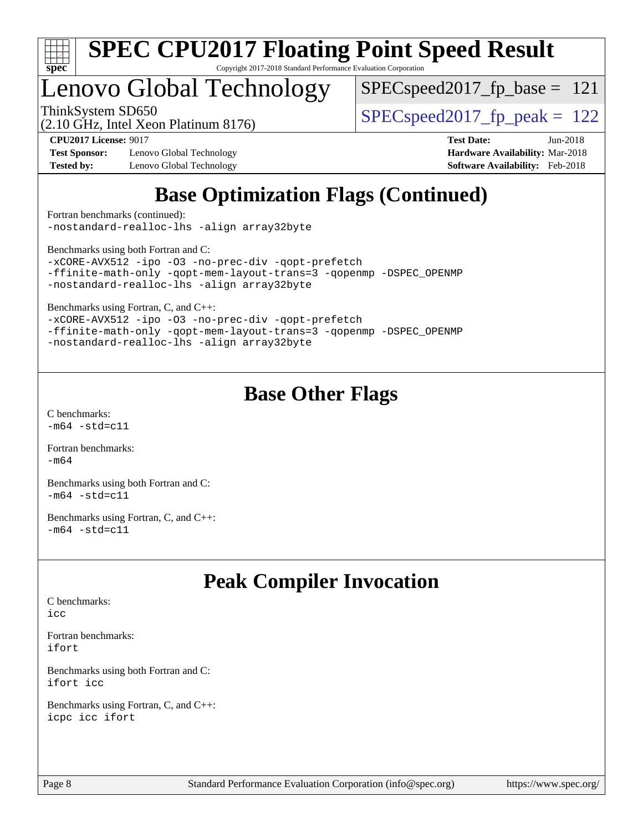

# Lenovo Global Technology

SPECspeed2017 fp base  $= 121$ 

(2.10 GHz, Intel Xeon Platinum 8176)

ThinkSystem SD650  $SPEC speed2017$  fp\_peak = 122

**[Test Sponsor:](http://www.spec.org/auto/cpu2017/Docs/result-fields.html#TestSponsor)** Lenovo Global Technology **[Hardware Availability:](http://www.spec.org/auto/cpu2017/Docs/result-fields.html#HardwareAvailability)** Mar-2018 **[Tested by:](http://www.spec.org/auto/cpu2017/Docs/result-fields.html#Testedby)** Lenovo Global Technology **[Software Availability:](http://www.spec.org/auto/cpu2017/Docs/result-fields.html#SoftwareAvailability)** Feb-2018

**[CPU2017 License:](http://www.spec.org/auto/cpu2017/Docs/result-fields.html#CPU2017License)** 9017 **[Test Date:](http://www.spec.org/auto/cpu2017/Docs/result-fields.html#TestDate)** Jun-2018

## **[Base Optimization Flags \(Continued\)](http://www.spec.org/auto/cpu2017/Docs/result-fields.html#BaseOptimizationFlags)**

[Fortran benchmarks](http://www.spec.org/auto/cpu2017/Docs/result-fields.html#Fortranbenchmarks) (continued): [-nostandard-realloc-lhs](http://www.spec.org/cpu2017/results/res2018q3/cpu2017-20180625-07346.flags.html#user_FCbase_f_2003_std_realloc_82b4557e90729c0f113870c07e44d33d6f5a304b4f63d4c15d2d0f1fab99f5daaed73bdb9275d9ae411527f28b936061aa8b9c8f2d63842963b95c9dd6426b8a) [-align array32byte](http://www.spec.org/cpu2017/results/res2018q3/cpu2017-20180625-07346.flags.html#user_FCbase_align_array32byte_b982fe038af199962ba9a80c053b8342c548c85b40b8e86eb3cc33dee0d7986a4af373ac2d51c3f7cf710a18d62fdce2948f201cd044323541f22fc0fffc51b6)

[Benchmarks using both Fortran and C](http://www.spec.org/auto/cpu2017/Docs/result-fields.html#BenchmarksusingbothFortranandC):

[-xCORE-AVX512](http://www.spec.org/cpu2017/results/res2018q3/cpu2017-20180625-07346.flags.html#user_CC_FCbase_f-xCORE-AVX512) [-ipo](http://www.spec.org/cpu2017/results/res2018q3/cpu2017-20180625-07346.flags.html#user_CC_FCbase_f-ipo) [-O3](http://www.spec.org/cpu2017/results/res2018q3/cpu2017-20180625-07346.flags.html#user_CC_FCbase_f-O3) [-no-prec-div](http://www.spec.org/cpu2017/results/res2018q3/cpu2017-20180625-07346.flags.html#user_CC_FCbase_f-no-prec-div) [-qopt-prefetch](http://www.spec.org/cpu2017/results/res2018q3/cpu2017-20180625-07346.flags.html#user_CC_FCbase_f-qopt-prefetch) [-ffinite-math-only](http://www.spec.org/cpu2017/results/res2018q3/cpu2017-20180625-07346.flags.html#user_CC_FCbase_f_finite_math_only_cb91587bd2077682c4b38af759c288ed7c732db004271a9512da14a4f8007909a5f1427ecbf1a0fb78ff2a814402c6114ac565ca162485bbcae155b5e4258871) [-qopt-mem-layout-trans=3](http://www.spec.org/cpu2017/results/res2018q3/cpu2017-20180625-07346.flags.html#user_CC_FCbase_f-qopt-mem-layout-trans_de80db37974c74b1f0e20d883f0b675c88c3b01e9d123adea9b28688d64333345fb62bc4a798493513fdb68f60282f9a726aa07f478b2f7113531aecce732043) [-qopenmp](http://www.spec.org/cpu2017/results/res2018q3/cpu2017-20180625-07346.flags.html#user_CC_FCbase_qopenmp_16be0c44f24f464004c6784a7acb94aca937f053568ce72f94b139a11c7c168634a55f6653758ddd83bcf7b8463e8028bb0b48b77bcddc6b78d5d95bb1df2967) [-DSPEC\\_OPENMP](http://www.spec.org/cpu2017/results/res2018q3/cpu2017-20180625-07346.flags.html#suite_CC_FCbase_DSPEC_OPENMP) [-nostandard-realloc-lhs](http://www.spec.org/cpu2017/results/res2018q3/cpu2017-20180625-07346.flags.html#user_CC_FCbase_f_2003_std_realloc_82b4557e90729c0f113870c07e44d33d6f5a304b4f63d4c15d2d0f1fab99f5daaed73bdb9275d9ae411527f28b936061aa8b9c8f2d63842963b95c9dd6426b8a) [-align array32byte](http://www.spec.org/cpu2017/results/res2018q3/cpu2017-20180625-07346.flags.html#user_CC_FCbase_align_array32byte_b982fe038af199962ba9a80c053b8342c548c85b40b8e86eb3cc33dee0d7986a4af373ac2d51c3f7cf710a18d62fdce2948f201cd044323541f22fc0fffc51b6)

[Benchmarks using Fortran, C, and C++:](http://www.spec.org/auto/cpu2017/Docs/result-fields.html#BenchmarksusingFortranCandCXX)

[-xCORE-AVX512](http://www.spec.org/cpu2017/results/res2018q3/cpu2017-20180625-07346.flags.html#user_CC_CXX_FCbase_f-xCORE-AVX512) [-ipo](http://www.spec.org/cpu2017/results/res2018q3/cpu2017-20180625-07346.flags.html#user_CC_CXX_FCbase_f-ipo) [-O3](http://www.spec.org/cpu2017/results/res2018q3/cpu2017-20180625-07346.flags.html#user_CC_CXX_FCbase_f-O3) [-no-prec-div](http://www.spec.org/cpu2017/results/res2018q3/cpu2017-20180625-07346.flags.html#user_CC_CXX_FCbase_f-no-prec-div) [-qopt-prefetch](http://www.spec.org/cpu2017/results/res2018q3/cpu2017-20180625-07346.flags.html#user_CC_CXX_FCbase_f-qopt-prefetch) [-ffinite-math-only](http://www.spec.org/cpu2017/results/res2018q3/cpu2017-20180625-07346.flags.html#user_CC_CXX_FCbase_f_finite_math_only_cb91587bd2077682c4b38af759c288ed7c732db004271a9512da14a4f8007909a5f1427ecbf1a0fb78ff2a814402c6114ac565ca162485bbcae155b5e4258871) [-qopt-mem-layout-trans=3](http://www.spec.org/cpu2017/results/res2018q3/cpu2017-20180625-07346.flags.html#user_CC_CXX_FCbase_f-qopt-mem-layout-trans_de80db37974c74b1f0e20d883f0b675c88c3b01e9d123adea9b28688d64333345fb62bc4a798493513fdb68f60282f9a726aa07f478b2f7113531aecce732043) [-qopenmp](http://www.spec.org/cpu2017/results/res2018q3/cpu2017-20180625-07346.flags.html#user_CC_CXX_FCbase_qopenmp_16be0c44f24f464004c6784a7acb94aca937f053568ce72f94b139a11c7c168634a55f6653758ddd83bcf7b8463e8028bb0b48b77bcddc6b78d5d95bb1df2967) [-DSPEC\\_OPENMP](http://www.spec.org/cpu2017/results/res2018q3/cpu2017-20180625-07346.flags.html#suite_CC_CXX_FCbase_DSPEC_OPENMP) [-nostandard-realloc-lhs](http://www.spec.org/cpu2017/results/res2018q3/cpu2017-20180625-07346.flags.html#user_CC_CXX_FCbase_f_2003_std_realloc_82b4557e90729c0f113870c07e44d33d6f5a304b4f63d4c15d2d0f1fab99f5daaed73bdb9275d9ae411527f28b936061aa8b9c8f2d63842963b95c9dd6426b8a) [-align array32byte](http://www.spec.org/cpu2017/results/res2018q3/cpu2017-20180625-07346.flags.html#user_CC_CXX_FCbase_align_array32byte_b982fe038af199962ba9a80c053b8342c548c85b40b8e86eb3cc33dee0d7986a4af373ac2d51c3f7cf710a18d62fdce2948f201cd044323541f22fc0fffc51b6)

## **[Base Other Flags](http://www.spec.org/auto/cpu2017/Docs/result-fields.html#BaseOtherFlags)**

[C benchmarks](http://www.spec.org/auto/cpu2017/Docs/result-fields.html#Cbenchmarks):  $-m64 - std= c11$  $-m64 - std= c11$ 

[Fortran benchmarks](http://www.spec.org/auto/cpu2017/Docs/result-fields.html#Fortranbenchmarks): [-m64](http://www.spec.org/cpu2017/results/res2018q3/cpu2017-20180625-07346.flags.html#user_FCbase_intel_intel64_18.0_af43caccfc8ded86e7699f2159af6efc7655f51387b94da716254467f3c01020a5059329e2569e4053f409e7c9202a7efc638f7a6d1ffb3f52dea4a3e31d82ab)

[Benchmarks using both Fortran and C](http://www.spec.org/auto/cpu2017/Docs/result-fields.html#BenchmarksusingbothFortranandC):  $-m64 - std= c11$  $-m64 - std= c11$ 

[Benchmarks using Fortran, C, and C++:](http://www.spec.org/auto/cpu2017/Docs/result-fields.html#BenchmarksusingFortranCandCXX)  $-m64 - std= c11$  $-m64 - std= c11$ 

## **[Peak Compiler Invocation](http://www.spec.org/auto/cpu2017/Docs/result-fields.html#PeakCompilerInvocation)**

[C benchmarks](http://www.spec.org/auto/cpu2017/Docs/result-fields.html#Cbenchmarks): [icc](http://www.spec.org/cpu2017/results/res2018q3/cpu2017-20180625-07346.flags.html#user_CCpeak_intel_icc_18.0_66fc1ee009f7361af1fbd72ca7dcefbb700085f36577c54f309893dd4ec40d12360134090235512931783d35fd58c0460139e722d5067c5574d8eaf2b3e37e92)

[Fortran benchmarks](http://www.spec.org/auto/cpu2017/Docs/result-fields.html#Fortranbenchmarks): [ifort](http://www.spec.org/cpu2017/results/res2018q3/cpu2017-20180625-07346.flags.html#user_FCpeak_intel_ifort_18.0_8111460550e3ca792625aed983ce982f94888b8b503583aa7ba2b8303487b4d8a21a13e7191a45c5fd58ff318f48f9492884d4413fa793fd88dd292cad7027ca)

[Benchmarks using both Fortran and C](http://www.spec.org/auto/cpu2017/Docs/result-fields.html#BenchmarksusingbothFortranandC): [ifort](http://www.spec.org/cpu2017/results/res2018q3/cpu2017-20180625-07346.flags.html#user_CC_FCpeak_intel_ifort_18.0_8111460550e3ca792625aed983ce982f94888b8b503583aa7ba2b8303487b4d8a21a13e7191a45c5fd58ff318f48f9492884d4413fa793fd88dd292cad7027ca) [icc](http://www.spec.org/cpu2017/results/res2018q3/cpu2017-20180625-07346.flags.html#user_CC_FCpeak_intel_icc_18.0_66fc1ee009f7361af1fbd72ca7dcefbb700085f36577c54f309893dd4ec40d12360134090235512931783d35fd58c0460139e722d5067c5574d8eaf2b3e37e92)

[Benchmarks using Fortran, C, and C++:](http://www.spec.org/auto/cpu2017/Docs/result-fields.html#BenchmarksusingFortranCandCXX) [icpc](http://www.spec.org/cpu2017/results/res2018q3/cpu2017-20180625-07346.flags.html#user_CC_CXX_FCpeak_intel_icpc_18.0_c510b6838c7f56d33e37e94d029a35b4a7bccf4766a728ee175e80a419847e808290a9b78be685c44ab727ea267ec2f070ec5dc83b407c0218cded6866a35d07) [icc](http://www.spec.org/cpu2017/results/res2018q3/cpu2017-20180625-07346.flags.html#user_CC_CXX_FCpeak_intel_icc_18.0_66fc1ee009f7361af1fbd72ca7dcefbb700085f36577c54f309893dd4ec40d12360134090235512931783d35fd58c0460139e722d5067c5574d8eaf2b3e37e92) [ifort](http://www.spec.org/cpu2017/results/res2018q3/cpu2017-20180625-07346.flags.html#user_CC_CXX_FCpeak_intel_ifort_18.0_8111460550e3ca792625aed983ce982f94888b8b503583aa7ba2b8303487b4d8a21a13e7191a45c5fd58ff318f48f9492884d4413fa793fd88dd292cad7027ca)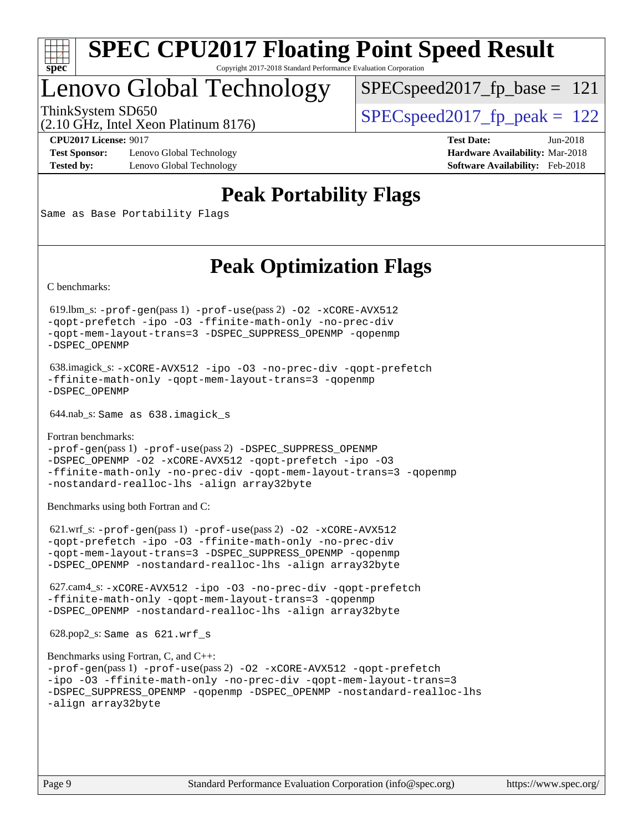

## Lenovo Global Technology

 $SPECspeed2017_fp\_base = 121$ 

(2.10 GHz, Intel Xeon Platinum 8176)

ThinkSystem SD650  $SPEC speed2017$  fp\_peak = 122

**[Test Sponsor:](http://www.spec.org/auto/cpu2017/Docs/result-fields.html#TestSponsor)** Lenovo Global Technology **[Hardware Availability:](http://www.spec.org/auto/cpu2017/Docs/result-fields.html#HardwareAvailability)** Mar-2018 **[Tested by:](http://www.spec.org/auto/cpu2017/Docs/result-fields.html#Testedby)** Lenovo Global Technology **[Software Availability:](http://www.spec.org/auto/cpu2017/Docs/result-fields.html#SoftwareAvailability)** Feb-2018

**[CPU2017 License:](http://www.spec.org/auto/cpu2017/Docs/result-fields.html#CPU2017License)** 9017 **[Test Date:](http://www.spec.org/auto/cpu2017/Docs/result-fields.html#TestDate)** Jun-2018

## **[Peak Portability Flags](http://www.spec.org/auto/cpu2017/Docs/result-fields.html#PeakPortabilityFlags)**

Same as Base Portability Flags

## **[Peak Optimization Flags](http://www.spec.org/auto/cpu2017/Docs/result-fields.html#PeakOptimizationFlags)**

[C benchmarks](http://www.spec.org/auto/cpu2017/Docs/result-fields.html#Cbenchmarks):

 619.lbm\_s: [-prof-gen](http://www.spec.org/cpu2017/results/res2018q3/cpu2017-20180625-07346.flags.html#user_peakPASS1_CFLAGSPASS1_LDFLAGS619_lbm_s_prof_gen_5aa4926d6013ddb2a31985c654b3eb18169fc0c6952a63635c234f711e6e63dd76e94ad52365559451ec499a2cdb89e4dc58ba4c67ef54ca681ffbe1461d6b36)(pass 1) [-prof-use](http://www.spec.org/cpu2017/results/res2018q3/cpu2017-20180625-07346.flags.html#user_peakPASS2_CFLAGSPASS2_LDFLAGS619_lbm_s_prof_use_1a21ceae95f36a2b53c25747139a6c16ca95bd9def2a207b4f0849963b97e94f5260e30a0c64f4bb623698870e679ca08317ef8150905d41bd88c6f78df73f19)(pass 2) [-O2](http://www.spec.org/cpu2017/results/res2018q3/cpu2017-20180625-07346.flags.html#user_peakPASS1_COPTIMIZE619_lbm_s_f-O2) [-xCORE-AVX512](http://www.spec.org/cpu2017/results/res2018q3/cpu2017-20180625-07346.flags.html#user_peakPASS2_COPTIMIZE619_lbm_s_f-xCORE-AVX512) [-qopt-prefetch](http://www.spec.org/cpu2017/results/res2018q3/cpu2017-20180625-07346.flags.html#user_peakPASS1_COPTIMIZEPASS2_COPTIMIZE619_lbm_s_f-qopt-prefetch) [-ipo](http://www.spec.org/cpu2017/results/res2018q3/cpu2017-20180625-07346.flags.html#user_peakPASS2_COPTIMIZE619_lbm_s_f-ipo) [-O3](http://www.spec.org/cpu2017/results/res2018q3/cpu2017-20180625-07346.flags.html#user_peakPASS2_COPTIMIZE619_lbm_s_f-O3) [-ffinite-math-only](http://www.spec.org/cpu2017/results/res2018q3/cpu2017-20180625-07346.flags.html#user_peakPASS1_COPTIMIZEPASS2_COPTIMIZE619_lbm_s_f_finite_math_only_cb91587bd2077682c4b38af759c288ed7c732db004271a9512da14a4f8007909a5f1427ecbf1a0fb78ff2a814402c6114ac565ca162485bbcae155b5e4258871) [-no-prec-div](http://www.spec.org/cpu2017/results/res2018q3/cpu2017-20180625-07346.flags.html#user_peakPASS2_COPTIMIZE619_lbm_s_f-no-prec-div) [-qopt-mem-layout-trans=3](http://www.spec.org/cpu2017/results/res2018q3/cpu2017-20180625-07346.flags.html#user_peakPASS1_COPTIMIZEPASS2_COPTIMIZE619_lbm_s_f-qopt-mem-layout-trans_de80db37974c74b1f0e20d883f0b675c88c3b01e9d123adea9b28688d64333345fb62bc4a798493513fdb68f60282f9a726aa07f478b2f7113531aecce732043) [-DSPEC\\_SUPPRESS\\_OPENMP](http://www.spec.org/cpu2017/results/res2018q3/cpu2017-20180625-07346.flags.html#suite_peakPASS1_COPTIMIZE619_lbm_s_DSPEC_SUPPRESS_OPENMP) [-qopenmp](http://www.spec.org/cpu2017/results/res2018q3/cpu2017-20180625-07346.flags.html#user_peakPASS2_COPTIMIZE619_lbm_s_qopenmp_16be0c44f24f464004c6784a7acb94aca937f053568ce72f94b139a11c7c168634a55f6653758ddd83bcf7b8463e8028bb0b48b77bcddc6b78d5d95bb1df2967) [-DSPEC\\_OPENMP](http://www.spec.org/cpu2017/results/res2018q3/cpu2017-20180625-07346.flags.html#suite_peakPASS2_COPTIMIZE619_lbm_s_DSPEC_OPENMP)

 638.imagick\_s: [-xCORE-AVX512](http://www.spec.org/cpu2017/results/res2018q3/cpu2017-20180625-07346.flags.html#user_peakCOPTIMIZE638_imagick_s_f-xCORE-AVX512) [-ipo](http://www.spec.org/cpu2017/results/res2018q3/cpu2017-20180625-07346.flags.html#user_peakCOPTIMIZE638_imagick_s_f-ipo) [-O3](http://www.spec.org/cpu2017/results/res2018q3/cpu2017-20180625-07346.flags.html#user_peakCOPTIMIZE638_imagick_s_f-O3) [-no-prec-div](http://www.spec.org/cpu2017/results/res2018q3/cpu2017-20180625-07346.flags.html#user_peakCOPTIMIZE638_imagick_s_f-no-prec-div) [-qopt-prefetch](http://www.spec.org/cpu2017/results/res2018q3/cpu2017-20180625-07346.flags.html#user_peakCOPTIMIZE638_imagick_s_f-qopt-prefetch) [-ffinite-math-only](http://www.spec.org/cpu2017/results/res2018q3/cpu2017-20180625-07346.flags.html#user_peakCOPTIMIZE638_imagick_s_f_finite_math_only_cb91587bd2077682c4b38af759c288ed7c732db004271a9512da14a4f8007909a5f1427ecbf1a0fb78ff2a814402c6114ac565ca162485bbcae155b5e4258871) [-qopt-mem-layout-trans=3](http://www.spec.org/cpu2017/results/res2018q3/cpu2017-20180625-07346.flags.html#user_peakCOPTIMIZE638_imagick_s_f-qopt-mem-layout-trans_de80db37974c74b1f0e20d883f0b675c88c3b01e9d123adea9b28688d64333345fb62bc4a798493513fdb68f60282f9a726aa07f478b2f7113531aecce732043) [-qopenmp](http://www.spec.org/cpu2017/results/res2018q3/cpu2017-20180625-07346.flags.html#user_peakCOPTIMIZE638_imagick_s_qopenmp_16be0c44f24f464004c6784a7acb94aca937f053568ce72f94b139a11c7c168634a55f6653758ddd83bcf7b8463e8028bb0b48b77bcddc6b78d5d95bb1df2967) [-DSPEC\\_OPENMP](http://www.spec.org/cpu2017/results/res2018q3/cpu2017-20180625-07346.flags.html#suite_peakCOPTIMIZE638_imagick_s_DSPEC_OPENMP)

644.nab\_s: Same as 638.imagick\_s

[Fortran benchmarks](http://www.spec.org/auto/cpu2017/Docs/result-fields.html#Fortranbenchmarks): [-prof-gen](http://www.spec.org/cpu2017/results/res2018q3/cpu2017-20180625-07346.flags.html#user_FCpeak_prof_gen_5aa4926d6013ddb2a31985c654b3eb18169fc0c6952a63635c234f711e6e63dd76e94ad52365559451ec499a2cdb89e4dc58ba4c67ef54ca681ffbe1461d6b36)(pass 1) [-prof-use](http://www.spec.org/cpu2017/results/res2018q3/cpu2017-20180625-07346.flags.html#user_FCpeak_prof_use_1a21ceae95f36a2b53c25747139a6c16ca95bd9def2a207b4f0849963b97e94f5260e30a0c64f4bb623698870e679ca08317ef8150905d41bd88c6f78df73f19)(pass 2) [-DSPEC\\_SUPPRESS\\_OPENMP](http://www.spec.org/cpu2017/results/res2018q3/cpu2017-20180625-07346.flags.html#suite_FCpeak_DSPEC_SUPPRESS_OPENMP) [-DSPEC\\_OPENMP](http://www.spec.org/cpu2017/results/res2018q3/cpu2017-20180625-07346.flags.html#suite_FCpeak_DSPEC_OPENMP) [-O2](http://www.spec.org/cpu2017/results/res2018q3/cpu2017-20180625-07346.flags.html#user_FCpeak_f-O2) [-xCORE-AVX512](http://www.spec.org/cpu2017/results/res2018q3/cpu2017-20180625-07346.flags.html#user_FCpeak_f-xCORE-AVX512) [-qopt-prefetch](http://www.spec.org/cpu2017/results/res2018q3/cpu2017-20180625-07346.flags.html#user_FCpeak_f-qopt-prefetch) [-ipo](http://www.spec.org/cpu2017/results/res2018q3/cpu2017-20180625-07346.flags.html#user_FCpeak_f-ipo) [-O3](http://www.spec.org/cpu2017/results/res2018q3/cpu2017-20180625-07346.flags.html#user_FCpeak_f-O3) [-ffinite-math-only](http://www.spec.org/cpu2017/results/res2018q3/cpu2017-20180625-07346.flags.html#user_FCpeak_f_finite_math_only_cb91587bd2077682c4b38af759c288ed7c732db004271a9512da14a4f8007909a5f1427ecbf1a0fb78ff2a814402c6114ac565ca162485bbcae155b5e4258871) [-no-prec-div](http://www.spec.org/cpu2017/results/res2018q3/cpu2017-20180625-07346.flags.html#user_FCpeak_f-no-prec-div) [-qopt-mem-layout-trans=3](http://www.spec.org/cpu2017/results/res2018q3/cpu2017-20180625-07346.flags.html#user_FCpeak_f-qopt-mem-layout-trans_de80db37974c74b1f0e20d883f0b675c88c3b01e9d123adea9b28688d64333345fb62bc4a798493513fdb68f60282f9a726aa07f478b2f7113531aecce732043) [-qopenmp](http://www.spec.org/cpu2017/results/res2018q3/cpu2017-20180625-07346.flags.html#user_FCpeak_qopenmp_16be0c44f24f464004c6784a7acb94aca937f053568ce72f94b139a11c7c168634a55f6653758ddd83bcf7b8463e8028bb0b48b77bcddc6b78d5d95bb1df2967) [-nostandard-realloc-lhs](http://www.spec.org/cpu2017/results/res2018q3/cpu2017-20180625-07346.flags.html#user_FCpeak_f_2003_std_realloc_82b4557e90729c0f113870c07e44d33d6f5a304b4f63d4c15d2d0f1fab99f5daaed73bdb9275d9ae411527f28b936061aa8b9c8f2d63842963b95c9dd6426b8a) [-align array32byte](http://www.spec.org/cpu2017/results/res2018q3/cpu2017-20180625-07346.flags.html#user_FCpeak_align_array32byte_b982fe038af199962ba9a80c053b8342c548c85b40b8e86eb3cc33dee0d7986a4af373ac2d51c3f7cf710a18d62fdce2948f201cd044323541f22fc0fffc51b6)

[Benchmarks using both Fortran and C](http://www.spec.org/auto/cpu2017/Docs/result-fields.html#BenchmarksusingbothFortranandC):

 621.wrf\_s: [-prof-gen](http://www.spec.org/cpu2017/results/res2018q3/cpu2017-20180625-07346.flags.html#user_peakPASS1_CFLAGSPASS1_FFLAGSPASS1_LDFLAGS621_wrf_s_prof_gen_5aa4926d6013ddb2a31985c654b3eb18169fc0c6952a63635c234f711e6e63dd76e94ad52365559451ec499a2cdb89e4dc58ba4c67ef54ca681ffbe1461d6b36)(pass 1) [-prof-use](http://www.spec.org/cpu2017/results/res2018q3/cpu2017-20180625-07346.flags.html#user_peakPASS2_CFLAGSPASS2_FFLAGSPASS2_LDFLAGS621_wrf_s_prof_use_1a21ceae95f36a2b53c25747139a6c16ca95bd9def2a207b4f0849963b97e94f5260e30a0c64f4bb623698870e679ca08317ef8150905d41bd88c6f78df73f19)(pass 2) [-O2](http://www.spec.org/cpu2017/results/res2018q3/cpu2017-20180625-07346.flags.html#user_peakPASS1_COPTIMIZEPASS1_FOPTIMIZE621_wrf_s_f-O2) [-xCORE-AVX512](http://www.spec.org/cpu2017/results/res2018q3/cpu2017-20180625-07346.flags.html#user_peakPASS2_COPTIMIZEPASS2_FOPTIMIZE621_wrf_s_f-xCORE-AVX512) [-qopt-prefetch](http://www.spec.org/cpu2017/results/res2018q3/cpu2017-20180625-07346.flags.html#user_peakPASS1_COPTIMIZEPASS1_FOPTIMIZEPASS2_COPTIMIZEPASS2_FOPTIMIZE621_wrf_s_f-qopt-prefetch) [-ipo](http://www.spec.org/cpu2017/results/res2018q3/cpu2017-20180625-07346.flags.html#user_peakPASS2_COPTIMIZEPASS2_FOPTIMIZE621_wrf_s_f-ipo) [-O3](http://www.spec.org/cpu2017/results/res2018q3/cpu2017-20180625-07346.flags.html#user_peakPASS2_COPTIMIZEPASS2_FOPTIMIZE621_wrf_s_f-O3) [-ffinite-math-only](http://www.spec.org/cpu2017/results/res2018q3/cpu2017-20180625-07346.flags.html#user_peakPASS1_COPTIMIZEPASS1_FOPTIMIZEPASS2_COPTIMIZEPASS2_FOPTIMIZE621_wrf_s_f_finite_math_only_cb91587bd2077682c4b38af759c288ed7c732db004271a9512da14a4f8007909a5f1427ecbf1a0fb78ff2a814402c6114ac565ca162485bbcae155b5e4258871) [-no-prec-div](http://www.spec.org/cpu2017/results/res2018q3/cpu2017-20180625-07346.flags.html#user_peakPASS2_COPTIMIZEPASS2_FOPTIMIZE621_wrf_s_f-no-prec-div) [-qopt-mem-layout-trans=3](http://www.spec.org/cpu2017/results/res2018q3/cpu2017-20180625-07346.flags.html#user_peakPASS1_COPTIMIZEPASS1_FOPTIMIZEPASS2_COPTIMIZEPASS2_FOPTIMIZE621_wrf_s_f-qopt-mem-layout-trans_de80db37974c74b1f0e20d883f0b675c88c3b01e9d123adea9b28688d64333345fb62bc4a798493513fdb68f60282f9a726aa07f478b2f7113531aecce732043) [-DSPEC\\_SUPPRESS\\_OPENMP](http://www.spec.org/cpu2017/results/res2018q3/cpu2017-20180625-07346.flags.html#suite_peakPASS1_COPTIMIZEPASS1_FOPTIMIZE621_wrf_s_DSPEC_SUPPRESS_OPENMP) [-qopenmp](http://www.spec.org/cpu2017/results/res2018q3/cpu2017-20180625-07346.flags.html#user_peakPASS2_COPTIMIZEPASS2_FOPTIMIZE621_wrf_s_qopenmp_16be0c44f24f464004c6784a7acb94aca937f053568ce72f94b139a11c7c168634a55f6653758ddd83bcf7b8463e8028bb0b48b77bcddc6b78d5d95bb1df2967) [-DSPEC\\_OPENMP](http://www.spec.org/cpu2017/results/res2018q3/cpu2017-20180625-07346.flags.html#suite_peakPASS2_COPTIMIZEPASS2_FOPTIMIZE621_wrf_s_DSPEC_OPENMP) [-nostandard-realloc-lhs](http://www.spec.org/cpu2017/results/res2018q3/cpu2017-20180625-07346.flags.html#user_peakEXTRA_FOPTIMIZE621_wrf_s_f_2003_std_realloc_82b4557e90729c0f113870c07e44d33d6f5a304b4f63d4c15d2d0f1fab99f5daaed73bdb9275d9ae411527f28b936061aa8b9c8f2d63842963b95c9dd6426b8a) [-align array32byte](http://www.spec.org/cpu2017/results/res2018q3/cpu2017-20180625-07346.flags.html#user_peakEXTRA_FOPTIMIZE621_wrf_s_align_array32byte_b982fe038af199962ba9a80c053b8342c548c85b40b8e86eb3cc33dee0d7986a4af373ac2d51c3f7cf710a18d62fdce2948f201cd044323541f22fc0fffc51b6)

 627.cam4\_s: [-xCORE-AVX512](http://www.spec.org/cpu2017/results/res2018q3/cpu2017-20180625-07346.flags.html#user_peakCOPTIMIZEFOPTIMIZE627_cam4_s_f-xCORE-AVX512) [-ipo](http://www.spec.org/cpu2017/results/res2018q3/cpu2017-20180625-07346.flags.html#user_peakCOPTIMIZEFOPTIMIZE627_cam4_s_f-ipo) [-O3](http://www.spec.org/cpu2017/results/res2018q3/cpu2017-20180625-07346.flags.html#user_peakCOPTIMIZEFOPTIMIZE627_cam4_s_f-O3) [-no-prec-div](http://www.spec.org/cpu2017/results/res2018q3/cpu2017-20180625-07346.flags.html#user_peakCOPTIMIZEFOPTIMIZE627_cam4_s_f-no-prec-div) [-qopt-prefetch](http://www.spec.org/cpu2017/results/res2018q3/cpu2017-20180625-07346.flags.html#user_peakCOPTIMIZEFOPTIMIZE627_cam4_s_f-qopt-prefetch) [-ffinite-math-only](http://www.spec.org/cpu2017/results/res2018q3/cpu2017-20180625-07346.flags.html#user_peakCOPTIMIZEFOPTIMIZE627_cam4_s_f_finite_math_only_cb91587bd2077682c4b38af759c288ed7c732db004271a9512da14a4f8007909a5f1427ecbf1a0fb78ff2a814402c6114ac565ca162485bbcae155b5e4258871) [-qopt-mem-layout-trans=3](http://www.spec.org/cpu2017/results/res2018q3/cpu2017-20180625-07346.flags.html#user_peakCOPTIMIZEFOPTIMIZE627_cam4_s_f-qopt-mem-layout-trans_de80db37974c74b1f0e20d883f0b675c88c3b01e9d123adea9b28688d64333345fb62bc4a798493513fdb68f60282f9a726aa07f478b2f7113531aecce732043) [-qopenmp](http://www.spec.org/cpu2017/results/res2018q3/cpu2017-20180625-07346.flags.html#user_peakCOPTIMIZEFOPTIMIZE627_cam4_s_qopenmp_16be0c44f24f464004c6784a7acb94aca937f053568ce72f94b139a11c7c168634a55f6653758ddd83bcf7b8463e8028bb0b48b77bcddc6b78d5d95bb1df2967) [-DSPEC\\_OPENMP](http://www.spec.org/cpu2017/results/res2018q3/cpu2017-20180625-07346.flags.html#suite_peakCOPTIMIZEFOPTIMIZE627_cam4_s_DSPEC_OPENMP) [-nostandard-realloc-lhs](http://www.spec.org/cpu2017/results/res2018q3/cpu2017-20180625-07346.flags.html#user_peakEXTRA_FOPTIMIZE627_cam4_s_f_2003_std_realloc_82b4557e90729c0f113870c07e44d33d6f5a304b4f63d4c15d2d0f1fab99f5daaed73bdb9275d9ae411527f28b936061aa8b9c8f2d63842963b95c9dd6426b8a) [-align array32byte](http://www.spec.org/cpu2017/results/res2018q3/cpu2017-20180625-07346.flags.html#user_peakEXTRA_FOPTIMIZE627_cam4_s_align_array32byte_b982fe038af199962ba9a80c053b8342c548c85b40b8e86eb3cc33dee0d7986a4af373ac2d51c3f7cf710a18d62fdce2948f201cd044323541f22fc0fffc51b6)

628.pop2\_s: Same as 621.wrf\_s

```
Benchmarks using Fortran, C, and C++: 
-prof-gen(pass 1) -prof-use(pass 2) -O2 -xCORE-AVX512 -qopt-prefetch
-ipo -O3 -ffinite-math-only -no-prec-div -qopt-mem-layout-trans=3
-DSPEC_SUPPRESS_OPENMP -qopenmp -DSPEC_OPENMP -nostandard-realloc-lhs
-align array32byte
```